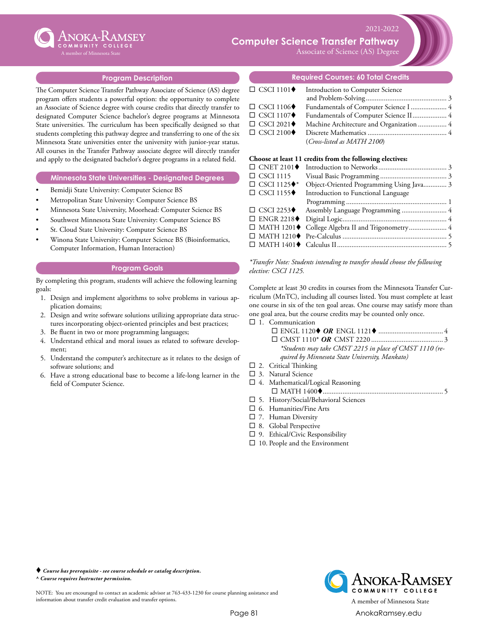

# **Computer Science Transfer Pathway**

Associate of Science (AS) Degree

2021-2022

#### **Program Description**

The Computer Science Transfer Pathway Associate of Science (AS) degree program offers students a powerful option: the opportunity to complete an Associate of Science degree with course credits that directly transfer to designated Computer Science bachelor's degree programs at Minnesota State universities. The curriculum has been specifically designed so that students completing this pathway degree and transferring to one of the six Minnesota State universities enter the university with junior-year status. All courses in the Transfer Pathway associate degree will directly transfer and apply to the designated bachelor's degree programs in a related field.

#### **Minnesota State Universities - Designated Degrees**

- Bemidji State University: Computer Science BS
- Metropolitan State University: Computer Science BS
- Minnesota State University, Moorhead: Computer Science BS
- Southwest Minnesota State University: Computer Science BS
- St. Cloud State University: Computer Science BS
- Winona State University: Computer Science BS (Bioinformatics, Computer Information, Human Interaction)

#### **Program Goals**

By completing this program, students will achieve the following learning goals:

- 1. Design and implement algorithms to solve problems in various application domains;
- 2. Design and write software solutions utilizing appropriate data structures incorporating object-oriented principles and best practices;
- 3. Be fluent in two or more programming languages;
- 4. Understand ethical and moral issues as related to software development;
- 5. Understand the computer's architecture as it relates to the design of software solutions; and
- 6. Have a strong educational base to become a life-long learner in the field of Computer Science.

**Required Courses: 60 Total Credits**

#### $\square$  CSCI 1101 $\blacklozenge$  Introduction to Computer Science and Problem-Solving.............................................. 3 □ CSCI 1106♦ Fundamentals of Computer Science I....................... 4 □ CSCI 1107♦ Fundamentals of Computer Science II...................... 4 □ CSCI 2021♦ Machine Architecture and Organization................. 4 ¨ CSCI 2100t Discrete Mathematics............................................. 4 (*Cross-listed as MATH 2100*)

#### **Choose at least 11 credits from the following electives:**

| $\Box$ CSCI 1115                   |                                                    |  |
|------------------------------------|----------------------------------------------------|--|
| $\Box$ CSCI 1125 $\blacklozenge^*$ | Object-Oriented Programming Using Java 3           |  |
| $\Box$ CSCI 1155 $\blacklozenge$   | Introduction to Functional Language                |  |
|                                    |                                                    |  |
| $\Box$ CSCI 2253 $\blacklozenge$   |                                                    |  |
|                                    |                                                    |  |
|                                    | □ MATH 1201♦ College Algebra II and Trigonometry 4 |  |
|                                    |                                                    |  |
|                                    |                                                    |  |
|                                    |                                                    |  |

*\*Transfer Note: Students intending to transfer should choose the following elective: CSCI 1125.*

Complete at least 30 credits in courses from the Minnesota Transfer Curriculum (MnTC), including all courses listed. You must complete at least one course in six of the ten goal areas. One course may satisfy more than one goal area, but the course credits may be counted only once.

 $\square$  1. Communication

- ¨ ENGL 1120t *OR* ENGL 1121t..................................... 4 ¨ CMST 1110\* *OR* CMST 2220......................................... 3 *\*Students may take CMST 2215 in place of CMST 1110 (required by Minnesota State University, Mankato)*
- $\square$  2. Critical Thinking
- $\square$  3. Natural Science
- $\square$  4. Mathematical/Logical Reasoning ¨ MATH 1400t................................................................... 5
- $\square$  5. History/Social/Behavioral Sciences
- $\square$  6. Humanities/Fine Arts
- $\square$  7. Human Diversity
- $\square$  8. Global Perspective
- $\square$  9. Ethical/Civic Responsibility
- $\square$  10. People and the Environment

 *Course has prerequisite - see course schedule or catalog description. ^ Course requires Instructor permission.*

NOTE: You are encouraged to contact an academic advisor at 763-433-1230 for course planning assistance and information about transfer credit evaluation and transfer options. A member of Minnesota State